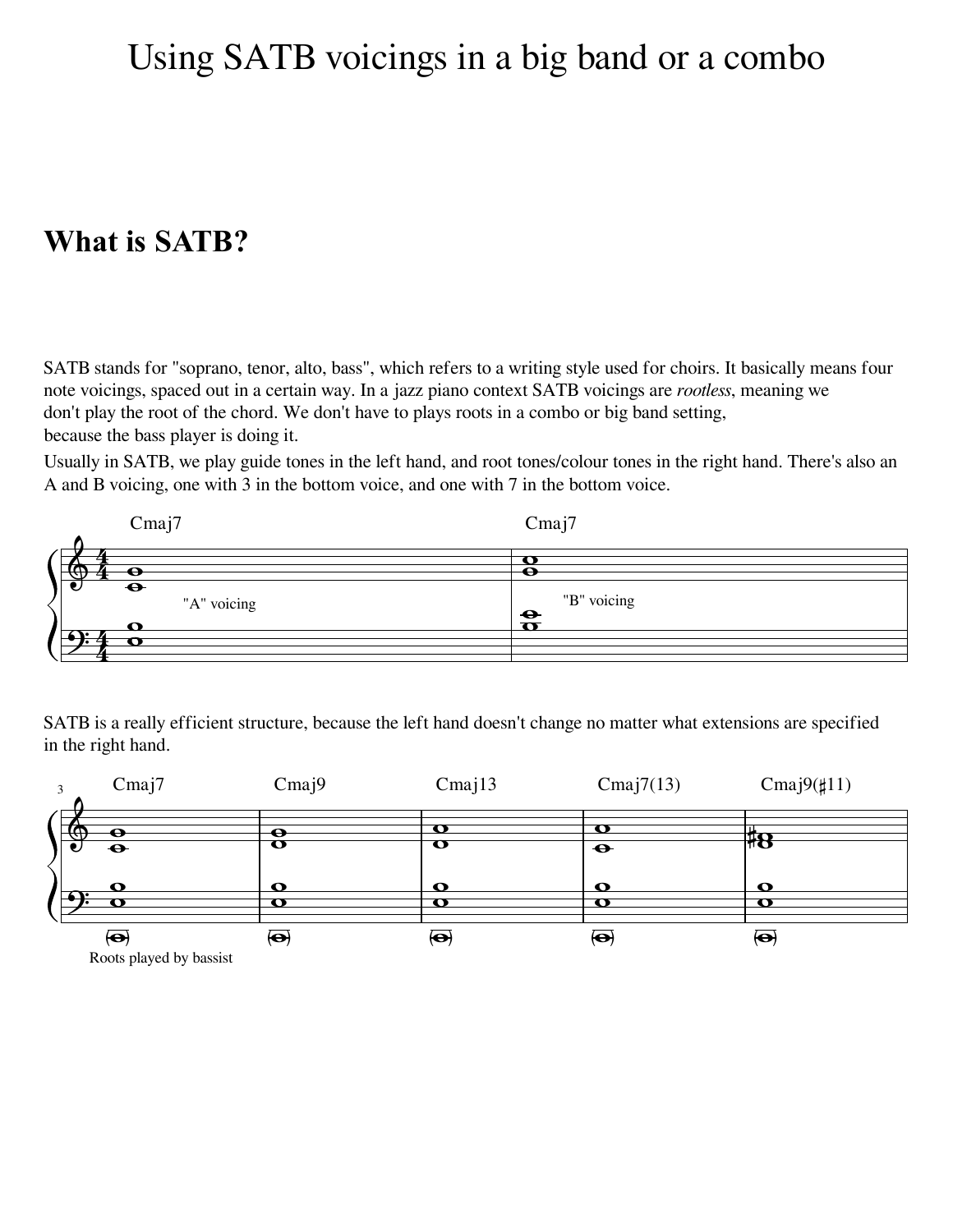## Using SATB voicings in a big band or a combo

## **What is SATB?**

SATB stands for "soprano, tenor, alto, bass", which refers to a writing style used for choirs. It basically means four note voicings, spaced out in a certain way. In a jazz piano context SATB voicings are *rootless*, meaning we don't play the root of the chord. We don't have to plays roots in a combo or big band setting, because the bass player is doing it.

Usually in SATB, we play guide tones in the left hand, and root tones/colour tones in the right hand. There's also an A and B voicing, one with 3 in the bottom voice, and one with 7 in the bottom voice.



SATB is a really efficient structure, because the left hand doesn't change no matter what extensions are specified in the right hand.